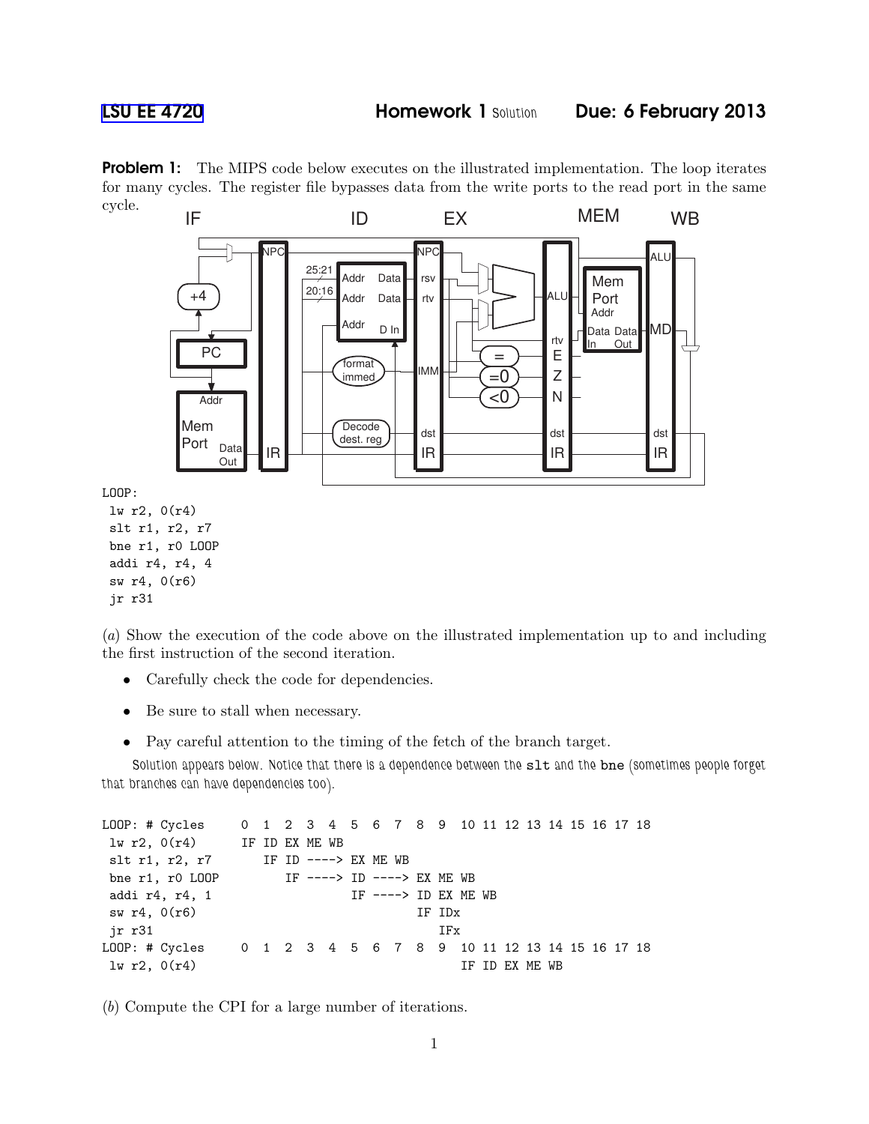**Problem 1:** The MIPS code below executes on the illustrated implementation. The loop iterates for many cycles. The register file bypasses data from the write ports to the read port in the same cycle.



(*a*) Show the execution of the code above on the illustrated implementation up to and including the first instruction of the second iteration.

- Carefully check the code for dependencies.
- Be sure to stall when necessary.
- Pay careful attention to the timing of the fetch of the branch target.

Solution appears below. Notice that there is a dependence between the slt and the bne (sometimes people forget that branches can have dependencies too).

```
LOOP: # Cycles 0 1 2 3 4 5 6 7 8 9 10 11 12 13 14 15 16 17 18
lw r2, O(r4) IF ID EX ME WB
slt r1, r2, r7 IF ID ----> EX ME WB
bne r1, r0 LOOP IF ----> ID ----> EX ME WB
addi r4, r4, 1 IF ----> ID EX ME WB
sw r4, 0(r6) IF IDx
jr r31 IFx
LOOP: # Cycles 0 1 2 3 4 5 6 7 8 9 10 11 12 13 14 15 16 17 18
\ln r2, 0(r4) IF ID EX ME WB
```
(*b*) Compute the CPI for a large number of iterations.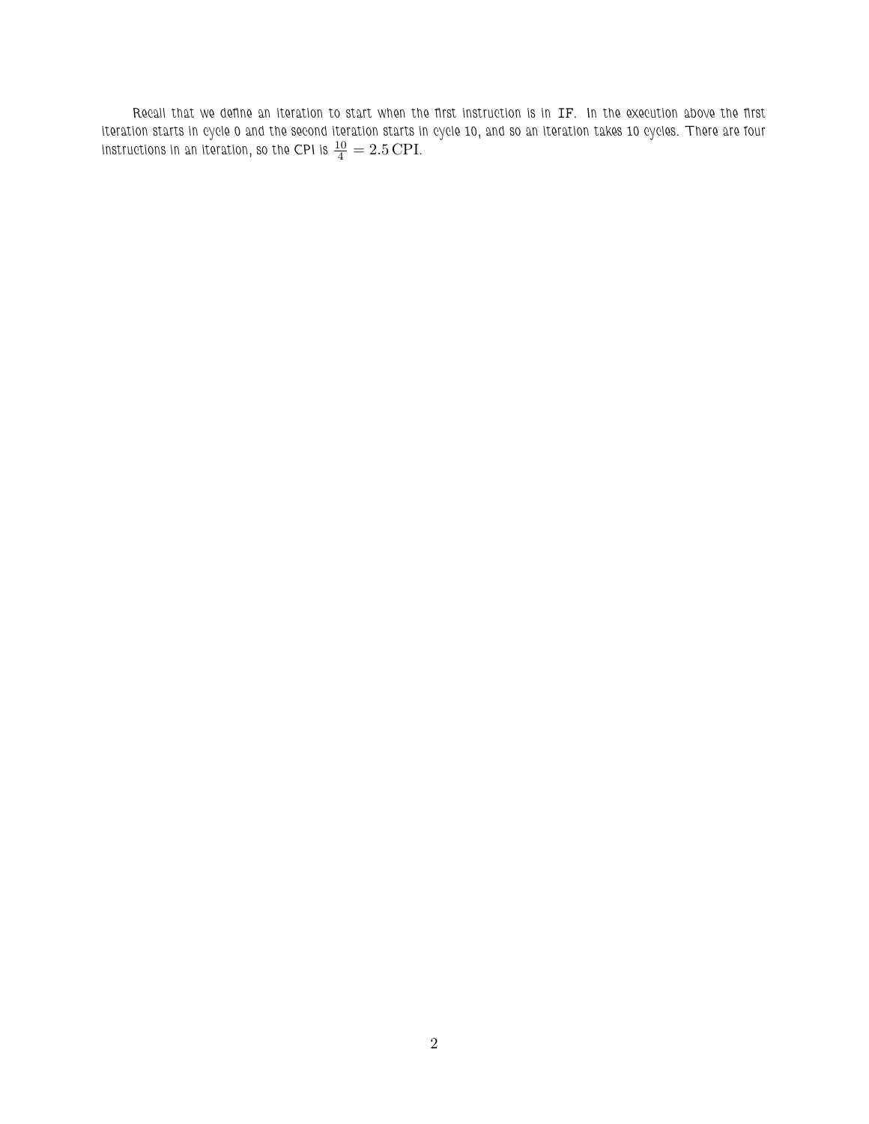Recall that we define an iteration to start when the first instruction is in IF. In the execution above the first iteration starts in cycle 0 and the second iteration starts in cycle 10, and so an iteration takes 10 cycles. There are four instructions in an iteration, so the CPI is  $\frac{10}{4} = 2.5 \text{ CPI}.$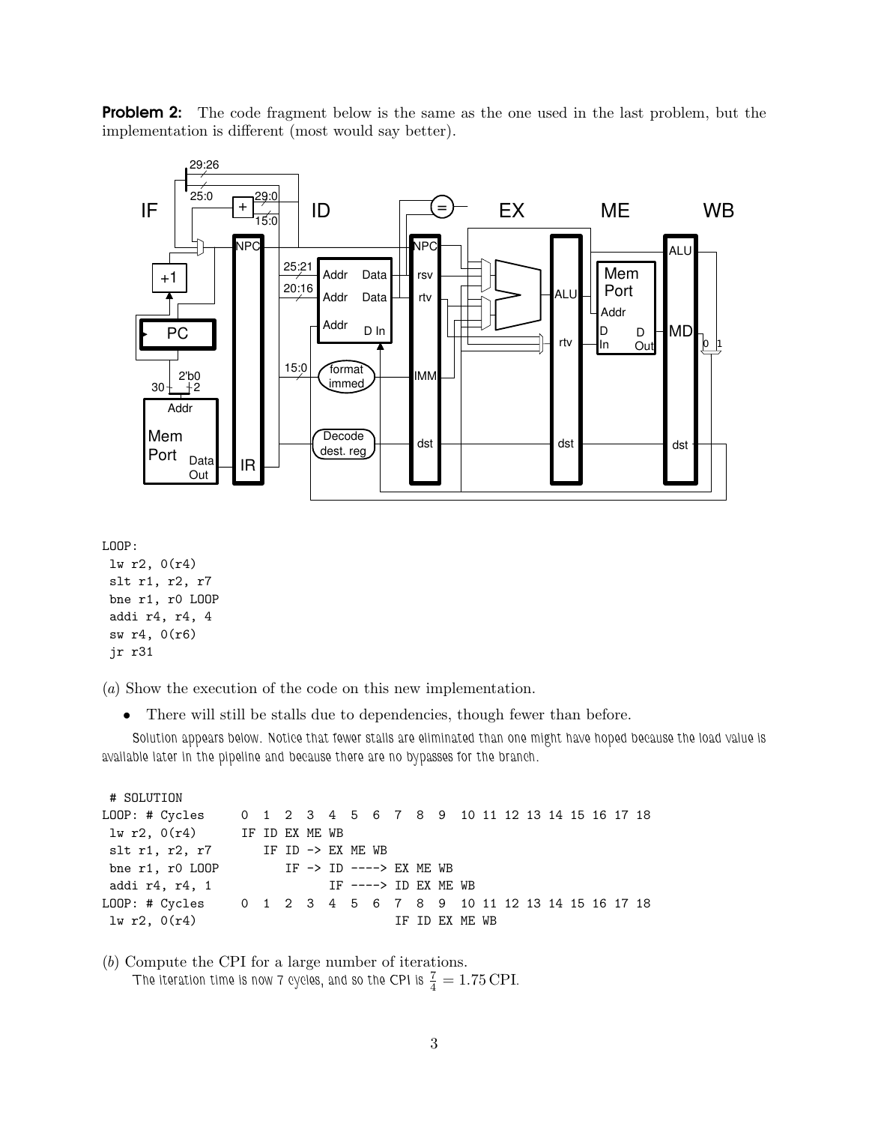**Problem 2:** The code fragment below is the same as the one used in the last problem, but the implementation is different (most would say better).



LOOP:

```
lw r2, 0(r4)
slt r1, r2, r7
bne r1, r0 LOOP
addi r4, r4, 4
sw r4, 0(r6)
jr r31
```
(*a*) Show the execution of the code on this new implementation.

• There will still be stalls due to dependencies, though fewer than before.

Solution appears below. Notice that fewer stalls are eliminated than one might have hoped because the load value is available later in the pipeline and because there are no bypasses for the branch.

# SOLUTION LOOP: # Cycles 0 1 2 3 4 5 6 7 8 9 10 11 12 13 14 15 16 17 18 lw r2, 0(r4) IF ID EX ME WB slt r1, r2, r7 IF ID -> EX ME WB bne r1, r0 LOOP IF -> ID ----> EX ME WB addi r4, r4, 1 IF ----> ID EX ME WB LOOP: # Cycles 0 1 2 3 4 5 6 7 8 9 10 11 12 13 14 15 16 17 18  $\ln$  r2,  $0(r4)$  IF ID EX ME WB

(*b*) Compute the CPI for a large number of iterations. The iteration time is now 7 cycles, and so the CPI is  $\frac{7}{4} = 1.75 \, \text{CPI}.$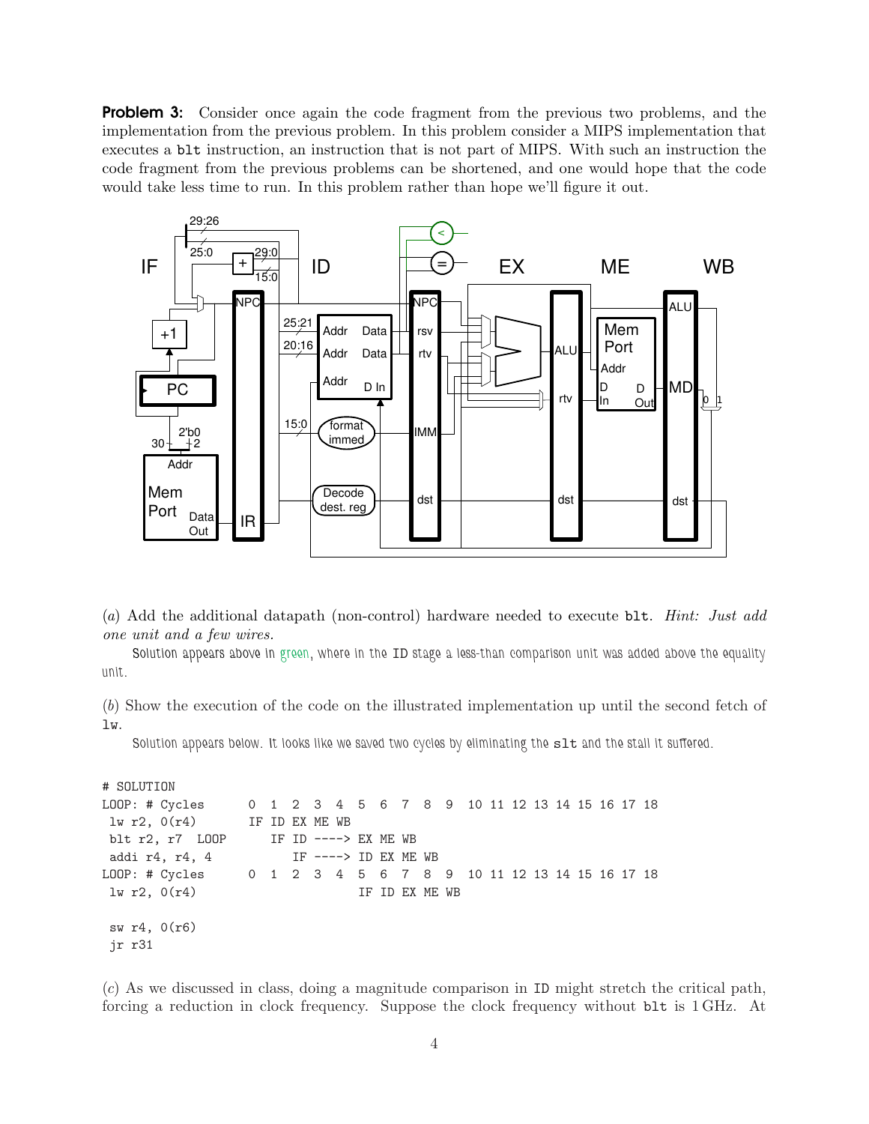**Problem 3:** Consider once again the code fragment from the previous two problems, and the implementation from the previous problem. In this problem consider a MIPS implementation that executes a blt instruction, an instruction that is not part of MIPS. With such an instruction the code fragment from the previous problems can be shortened, and one would hope that the code would take less time to run. In this problem rather than hope we'll figure it out.



(*a*) Add the additional datapath (non-control) hardware needed to execute blt. *Hint: Just add one unit and a few wires.*

Solution appears above in green, where in the ID stage a less-than comparison unit was added above the equality unit.

(*b*) Show the execution of the code on the illustrated implementation up until the second fetch of lw.

Solution appears below. It looks like we saved two cycles by eliminating the slt and the stall it suffered.

```
# SOLUTION
LOOP: # Cycles 0 1 2 3 4 5 6 7 8 9 10 11 12 13 14 15 16 17 18
lw r2, O(r4) IF ID EX ME WB
blt r2, r7 LOOP IF ID ----> EX ME WB
addi r4, r4, 4 IF ----> ID EX ME WB
LOOP: # Cycles 0 1 2 3 4 5 6 7 8 9 10 11 12 13 14 15 16 17 18
\frac{1}{\sqrt{2}}, 0(r4) IF ID EX ME WB
sw r4, 0(r6)
jr r31
```
(*c*) As we discussed in class, doing a magnitude comparison in ID might stretch the critical path, forcing a reduction in clock frequency. Suppose the clock frequency without blt is 1 GHz. At